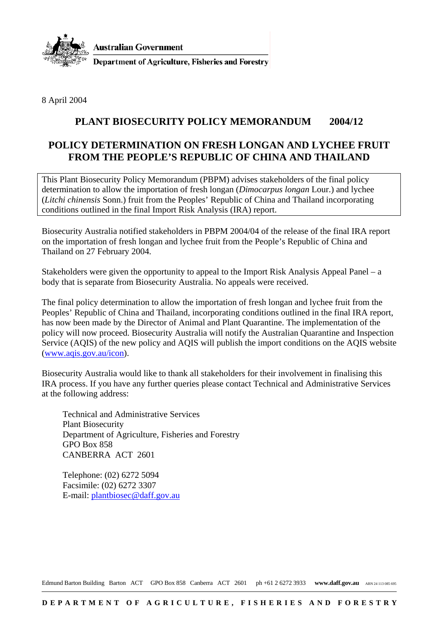

**Australian Government** 

**Department of Agriculture, Fisheries and Forestry** 

8 April 2004

## **PLANT BIOSECURITY POLICY MEMORANDUM 2004/12**

## **POLICY DETERMINATION ON FRESH LONGAN AND LYCHEE FRUIT FROM THE PEOPLE'S REPUBLIC OF CHINA AND THAILAND**

This Plant Biosecurity Policy Memorandum (PBPM) advises stakeholders of the final policy determination to allow the importation of fresh longan (*Dimocarpus longan* Lour.) and lychee (*Litchi chinensis* Sonn.) fruit from the Peoples' Republic of China and Thailand incorporating conditions outlined in the final Import Risk Analysis (IRA) report.

Biosecurity Australia notified stakeholders in PBPM 2004/04 of the release of the final IRA report on the importation of fresh longan and lychee fruit from the People's Republic of China and Thailand on 27 February 2004.

Stakeholders were given the opportunity to appeal to the Import Risk Analysis Appeal Panel – a body that is separate from Biosecurity Australia. No appeals were received.

The final policy determination to allow the importation of fresh longan and lychee fruit from the Peoples' Republic of China and Thailand, incorporating conditions outlined in the final IRA report, has now been made by the Director of Animal and Plant Quarantine. The implementation of the policy will now proceed. Biosecurity Australia will notify the Australian Quarantine and Inspection Service (AQIS) of the new policy and AQIS will publish the import conditions on the AQIS website (www.aqis.gov.au/icon).

Biosecurity Australia would like to thank all stakeholders for their involvement in finalising this IRA process. If you have any further queries please contact Technical and Administrative Services at the following address:

Technical and Administrative Services Plant Biosecurity Department of Agriculture, Fisheries and Forestry GPO Box 858 CANBERRA ACT 2601

Telephone: (02) 6272 5094 Facsimile: (02) 6272 3307 E-mail: plantbiosec@daff.gov.au

Edmund Barton Building Barton ACT GPO Box 858 Canberra ACT 2601 ph +61 2 6272 3933 www.daff.gov.au ABN 24 113 085 695